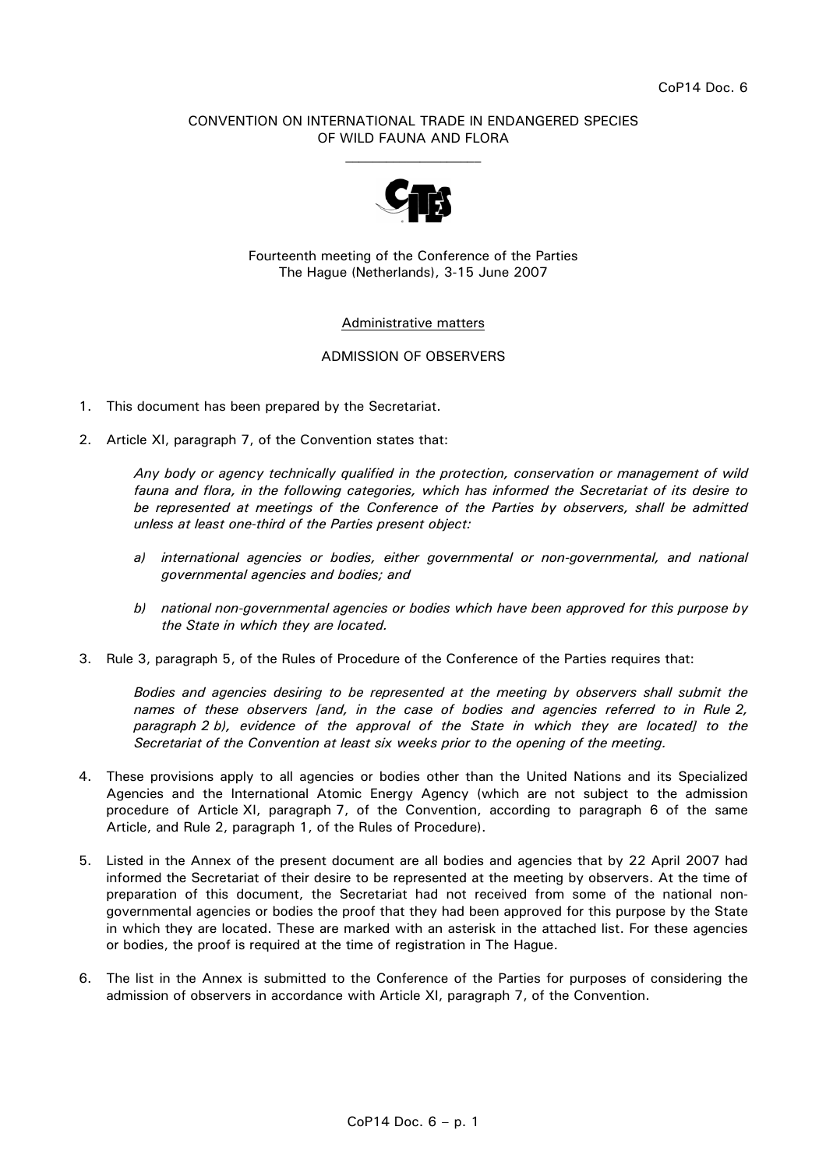## CONVENTION ON INTERNATIONAL TRADE IN ENDANGERED SPECIES OF WILD FAUNA AND FLORA  $\mathcal{L}_\text{max}$



Fourteenth meeting of the Conference of the Parties The Hague (Netherlands), 3-15 June 2007

## Administrative matters

## ADMISSION OF OBSERVERS

- 1. This document has been prepared by the Secretariat.
- 2. Article XI, paragraph 7, of the Convention states that:

 *Any body or agency technically qualified in the protection, conservation or management of wild fauna and flora, in the following categories, which has informed the Secretariat of its desire to be represented at meetings of the Conference of the Parties by observers, shall be admitted unless at least one-third of the Parties present object:* 

- *a) international agencies or bodies, either governmental or non-governmental, and national governmental agencies and bodies; and*
- *b) national non-governmental agencies or bodies which have been approved for this purpose by the State in which they are located.*
- 3. Rule 3, paragraph 5, of the Rules of Procedure of the Conference of the Parties requires that:

 *Bodies and agencies desiring to be represented at the meeting by observers shall submit the names of these observers [and, in the case of bodies and agencies referred to in Rule 2, paragraph 2 b), evidence of the approval of the State in which they are located] to the Secretariat of the Convention at least six weeks prior to the opening of the meeting.* 

- 4. These provisions apply to all agencies or bodies other than the United Nations and its Specialized Agencies and the International Atomic Energy Agency (which are not subject to the admission procedure of Article XI, paragraph 7, of the Convention, according to paragraph 6 of the same Article, and Rule 2, paragraph 1, of the Rules of Procedure).
- 5. Listed in the Annex of the present document are all bodies and agencies that by 22 April 2007 had informed the Secretariat of their desire to be represented at the meeting by observers. At the time of preparation of this document, the Secretariat had not received from some of the national nongovernmental agencies or bodies the proof that they had been approved for this purpose by the State in which they are located. These are marked with an asterisk in the attached list. For these agencies or bodies, the proof is required at the time of registration in The Hague.
- 6. The list in the Annex is submitted to the Conference of the Parties for purposes of considering the admission of observers in accordance with Article XI, paragraph 7, of the Convention.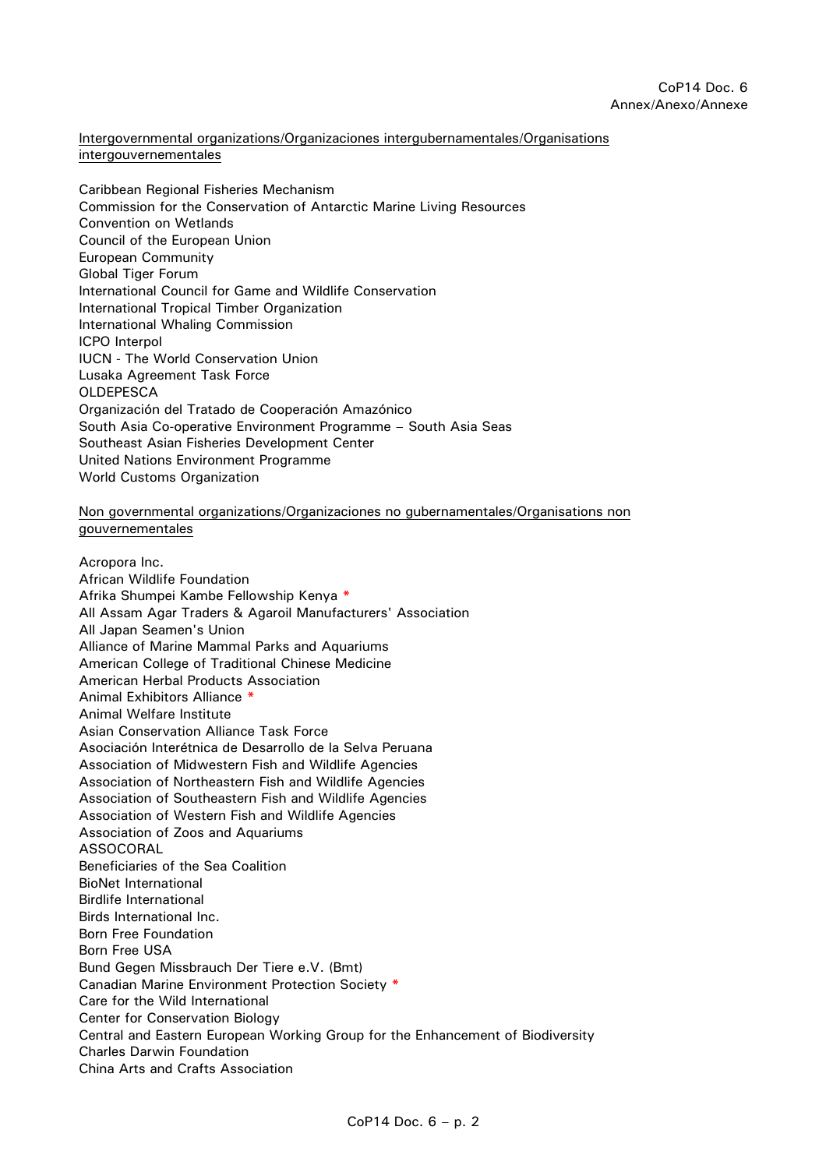Intergovernmental organizations/Organizaciones intergubernamentales/Organisations intergouvernementales

Caribbean Regional Fisheries Mechanism Commission for the Conservation of Antarctic Marine Living Resources Convention on Wetlands Council of the European Union European Community Global Tiger Forum International Council for Game and Wildlife Conservation International Tropical Timber Organization International Whaling Commission ICPO Interpol IUCN - The World Conservation Union Lusaka Agreement Task Force **OLDEPESCA** Organización del Tratado de Cooperación Amazónico South Asia Co-operative Environment Programme – South Asia Seas Southeast Asian Fisheries Development Center United Nations Environment Programme World Customs Organization

Non governmental organizations/Organizaciones no gubernamentales/Organisations non gouvernementales

Acropora Inc. African Wildlife Foundation Afrika Shumpei Kambe Fellowship Kenya **\*** All Assam Agar Traders & Agaroil Manufacturers' Association All Japan Seamen's Union Alliance of Marine Mammal Parks and Aquariums American College of Traditional Chinese Medicine American Herbal Products Association Animal Exhibitors Alliance **\*** Animal Welfare Institute Asian Conservation Alliance Task Force Asociación Interétnica de Desarrollo de la Selva Peruana Association of Midwestern Fish and Wildlife Agencies Association of Northeastern Fish and Wildlife Agencies Association of Southeastern Fish and Wildlife Agencies Association of Western Fish and Wildlife Agencies Association of Zoos and Aquariums **ASSOCORAL** Beneficiaries of the Sea Coalition BioNet International Birdlife International Birds International Inc. Born Free Foundation Born Free USA Bund Gegen Missbrauch Der Tiere e.V. (Bmt) Canadian Marine Environment Protection Society **\*** Care for the Wild International Center for Conservation Biology Central and Eastern European Working Group for the Enhancement of Biodiversity Charles Darwin Foundation China Arts and Crafts Association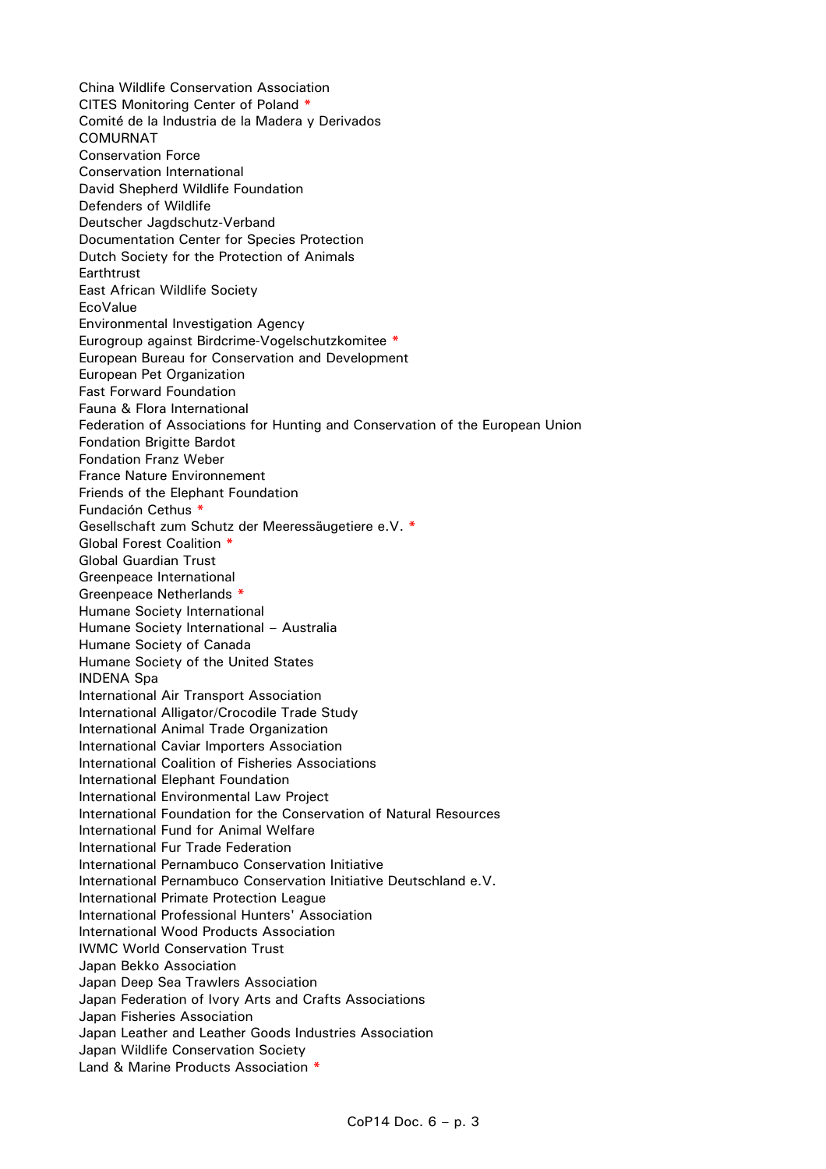China Wildlife Conservation Association CITES Monitoring Center of Poland **\*** Comité de la Industria de la Madera y Derivados COMURNAT Conservation Force Conservation International David Shepherd Wildlife Foundation Defenders of Wildlife Deutscher Jagdschutz-Verband Documentation Center for Species Protection Dutch Society for the Protection of Animals **Earthtrust** East African Wildlife Society **EcoValue** Environmental Investigation Agency Eurogroup against Birdcrime-Vogelschutzkomitee **\*** European Bureau for Conservation and Development European Pet Organization Fast Forward Foundation Fauna & Flora International Federation of Associations for Hunting and Conservation of the European Union Fondation Brigitte Bardot Fondation Franz Weber France Nature Environnement Friends of the Elephant Foundation Fundación Cethus **\*** Gesellschaft zum Schutz der Meeressäugetiere e.V. **\*** Global Forest Coalition **\*** Global Guardian Trust Greenpeace International Greenpeace Netherlands **\*** Humane Society International Humane Society International – Australia Humane Society of Canada Humane Society of the United States INDENA Spa International Air Transport Association International Alligator/Crocodile Trade Study International Animal Trade Organization International Caviar Importers Association International Coalition of Fisheries Associations International Elephant Foundation International Environmental Law Project International Foundation for the Conservation of Natural Resources International Fund for Animal Welfare International Fur Trade Federation International Pernambuco Conservation Initiative International Pernambuco Conservation Initiative Deutschland e.V. International Primate Protection League International Professional Hunters' Association International Wood Products Association IWMC World Conservation Trust Japan Bekko Association Japan Deep Sea Trawlers Association Japan Federation of Ivory Arts and Crafts Associations Japan Fisheries Association Japan Leather and Leather Goods Industries Association Japan Wildlife Conservation Society Land & Marine Products Association **\***